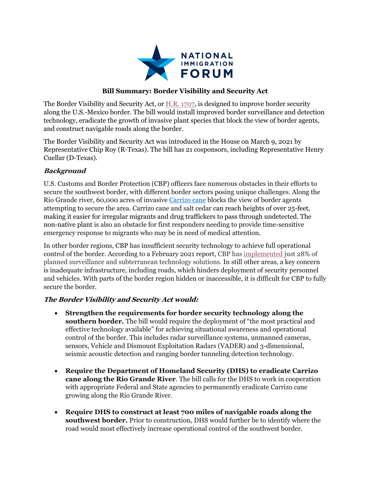

## **Bill Summary: Border Visibility and Security Act**

The Border Visibility and Security Act, or H.R. 1707, is designed to improve border security along the U.S.-Mexico border. The bill would install improved border surveillance and detection technology, eradicate the growth of invasive plant species that block the view of border agents, and construct navigable roads along the border.

The Border Visibility and Security Act was introduced in the House on March 9, 2021 by Representative Chip Roy (R-Texas). The bill has 21 cosponsors, including Representative Henry Cuellar (D-Texas).

## **Background**

U.S. Customs and Border Protection (CBP) officers face numerous obstacles in their efforts to secure the southwest border, with different border sectors posing unique challenges. Along the Rio Grande river, 60,000 acres of invasive Carrizo cane blocks the view of border agents attempting to secure the area. Carrizo cane and salt cedar can reach heights of over 25-feet, making it easier for irregular migrants and drug traffickers to pass through undetected. The non-native plant is also an obstacle for first responders needing to provide time-sensitive emergency response to migrants who may be in need of medical attention.

In other border regions, CBP has insufficient security technology to achieve full operational control of the border. According to a February 2021 report, CBP has implemented just 28% of planned surveillance and subterranean technology solutions. In still other areas, a key concern is inadequate infrastructure, including roads, which hinders deployment of security personnel and vehicles. With parts of the border region hidden or inaccessible, it is difficult for CBP to fully secure the border.

## **The Border Visibility and Security Act would:**

- **Strengthen the requirements for border security technology along the southern border.** The bill would require the deployment of "the most practical and effective technology available" for achieving situational awareness and operational control of the border. This includes radar surveillance systems, unmanned cameras, sensors, Vehicle and Dismount Exploitation Radars (VADER) and 3-dimensional, seismic acoustic detection and ranging border tunneling detection technology.
- **Require the Department of Homeland Security (DHS) to eradicate Carrizo cane along the Rio Grande River**. The bill calls for the DHS to work in cooperation with appropriate Federal and State agencies to permanently eradicate Carrizo cane growing along the Rio Grande River.
- **Require DHS to construct at least 700 miles of navigable roads along the southwest border.** Prior to construction, DHS would further be to identify where the road would most effectively increase operational control of the southwest border.